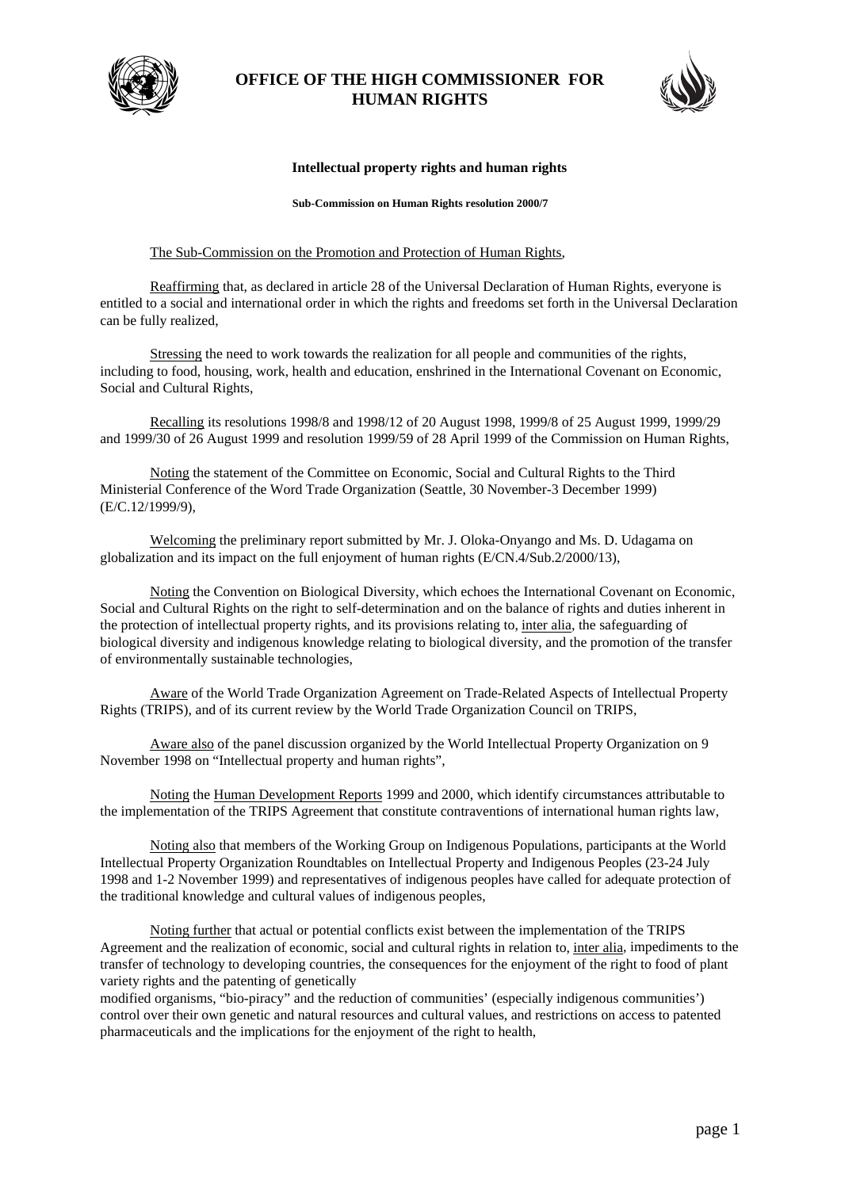

## **OFFICE OF THE HIGH COMMISSIONER FOR HUMAN RIGHTS**



## **Intellectual property rights and human rights**

**Sub-Commission on Human Rights resolution 2000/7** 

## The Sub-Commission on the Promotion and Protection of Human Rights,

Reaffirming that, as declared in article 28 of the Universal Declaration of Human Rights, everyone is entitled to a social and international order in which the rights and freedoms set forth in the Universal Declaration can be fully realized,

Stressing the need to work towards the realization for all people and communities of the rights, including to food, housing, work, health and education, enshrined in the International Covenant on Economic, Social and Cultural Rights,

Recalling its resolutions 1998/8 and 1998/12 of 20 August 1998, 1999/8 of 25 August 1999, 1999/29 and 1999/30 of 26 August 1999 and resolution 1999/59 of 28 April 1999 of the Commission on Human Rights,

Noting the statement of the Committee on Economic, Social and Cultural Rights to the Third Ministerial Conference of the Word Trade Organization (Seattle, 30 November-3 December 1999) (E/C.12/1999/9),

Welcoming the preliminary report submitted by Mr. J. Oloka-Onyango and Ms. D. Udagama on globalization and its impact on the full enjoyment of human rights (E/CN.4/Sub.2/2000/13),

Noting the Convention on Biological Diversity, which echoes the International Covenant on Economic, Social and Cultural Rights on the right to self-determination and on the balance of rights and duties inherent in the protection of intellectual property rights, and its provisions relating to, inter alia, the safeguarding of biological diversity and indigenous knowledge relating to biological diversity, and the promotion of the transfer of environmentally sustainable technologies,

Aware of the World Trade Organization Agreement on Trade-Related Aspects of Intellectual Property Rights (TRIPS), and of its current review by the World Trade Organization Council on TRIPS,

Aware also of the panel discussion organized by the World Intellectual Property Organization on 9 November 1998 on "Intellectual property and human rights",

Noting the Human Development Reports 1999 and 2000, which identify circumstances attributable to the implementation of the TRIPS Agreement that constitute contraventions of international human rights law,

Noting also that members of the Working Group on Indigenous Populations, participants at the World Intellectual Property Organization Roundtables on Intellectual Property and Indigenous Peoples (23-24 July 1998 and 1-2 November 1999) and representatives of indigenous peoples have called for adequate protection of the traditional knowledge and cultural values of indigenous peoples,

Noting further that actual or potential conflicts exist between the implementation of the TRIPS Agreement and the realization of economic, social and cultural rights in relation to, inter alia, impediments to the transfer of technology to developing countries, the consequences for the enjoyment of the right to food of plant variety rights and the patenting of genetically

modified organisms, "bio-piracy" and the reduction of communities' (especially indigenous communities') control over their own genetic and natural resources and cultural values, and restrictions on access to patented pharmaceuticals and the implications for the enjoyment of the right to health,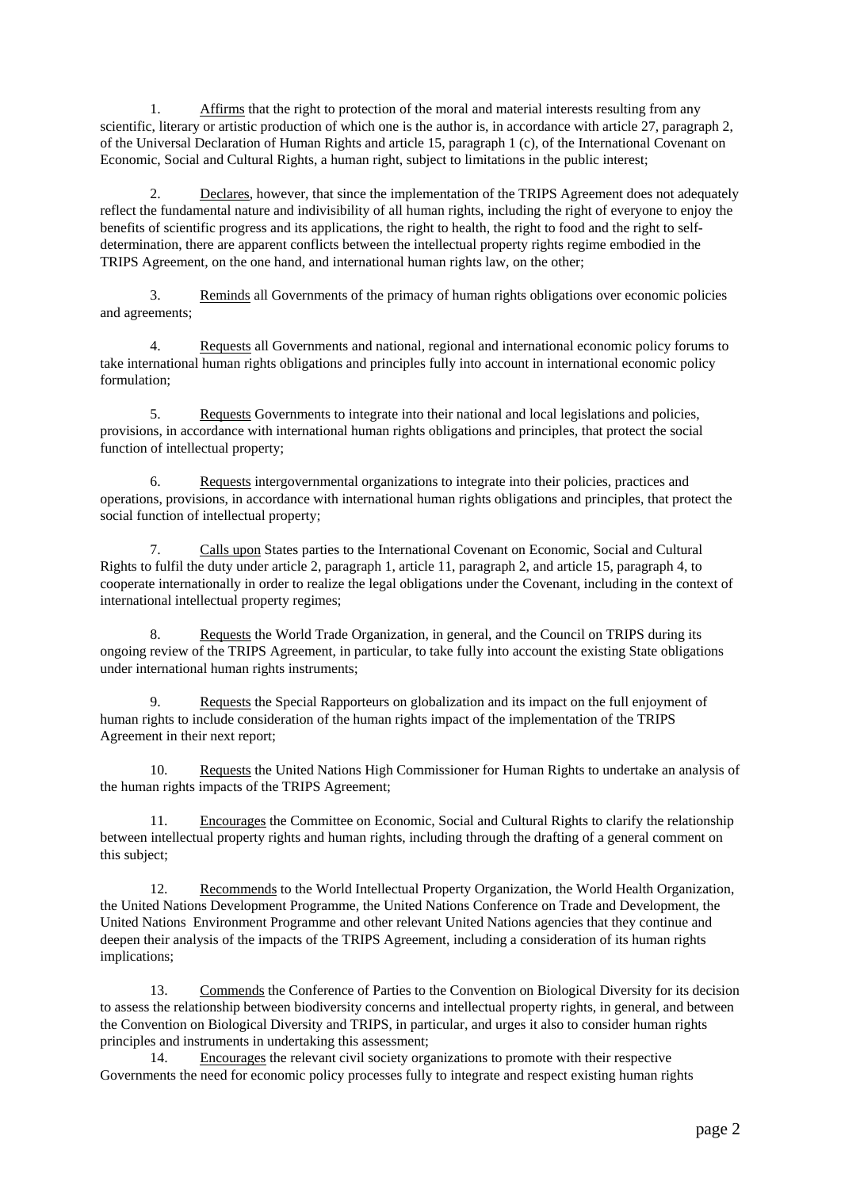1. Affirms that the right to protection of the moral and material interests resulting from any scientific, literary or artistic production of which one is the author is, in accordance with article 27, paragraph 2, of the Universal Declaration of Human Rights and article 15, paragraph 1 (c), of the International Covenant on Economic, Social and Cultural Rights, a human right, subject to limitations in the public interest;

 2. Declares, however, that since the implementation of the TRIPS Agreement does not adequately reflect the fundamental nature and indivisibility of all human rights, including the right of everyone to enjoy the benefits of scientific progress and its applications, the right to health, the right to food and the right to selfdetermination, there are apparent conflicts between the intellectual property rights regime embodied in the TRIPS Agreement, on the one hand, and international human rights law, on the other;

 3. Reminds all Governments of the primacy of human rights obligations over economic policies and agreements;

4. Requests all Governments and national, regional and international economic policy forums to take international human rights obligations and principles fully into account in international economic policy formulation;

 5. Requests Governments to integrate into their national and local legislations and policies, provisions, in accordance with international human rights obligations and principles, that protect the social function of intellectual property;

 6. Requests intergovernmental organizations to integrate into their policies, practices and operations, provisions, in accordance with international human rights obligations and principles, that protect the social function of intellectual property;

 7. Calls upon States parties to the International Covenant on Economic, Social and Cultural Rights to fulfil the duty under article 2, paragraph 1, article 11, paragraph 2, and article 15, paragraph 4, to cooperate internationally in order to realize the legal obligations under the Covenant, including in the context of international intellectual property regimes;

 8. Requests the World Trade Organization, in general, and the Council on TRIPS during its ongoing review of the TRIPS Agreement, in particular, to take fully into account the existing State obligations under international human rights instruments;

9. Requests the Special Rapporteurs on globalization and its impact on the full enjoyment of human rights to include consideration of the human rights impact of the implementation of the TRIPS Agreement in their next report;

10. Requests the United Nations High Commissioner for Human Rights to undertake an analysis of the human rights impacts of the TRIPS Agreement;

 11. Encourages the Committee on Economic, Social and Cultural Rights to clarify the relationship between intellectual property rights and human rights, including through the drafting of a general comment on this subject;

 12. Recommends to the World Intellectual Property Organization, the World Health Organization, the United Nations Development Programme, the United Nations Conference on Trade and Development, the United Nations Environment Programme and other relevant United Nations agencies that they continue and deepen their analysis of the impacts of the TRIPS Agreement, including a consideration of its human rights implications;

 13. Commends the Conference of Parties to the Convention on Biological Diversity for its decision to assess the relationship between biodiversity concerns and intellectual property rights, in general, and between the Convention on Biological Diversity and TRIPS, in particular, and urges it also to consider human rights principles and instruments in undertaking this assessment;

 14. Encourages the relevant civil society organizations to promote with their respective Governments the need for economic policy processes fully to integrate and respect existing human rights